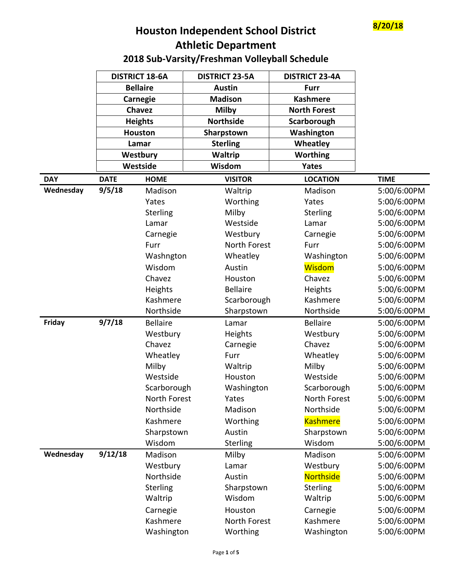

## **8/20/18 Houston Independent School District Athletic Department**

## **2018 Sub-Varsity/Freshman Volleyball Schedule**

|            | <b>DISTRICT 18-6A</b> |                 | <b>DISTRICT 23-5A</b> | <b>DISTRICT 23-4A</b> |             |
|------------|-----------------------|-----------------|-----------------------|-----------------------|-------------|
|            | <b>Bellaire</b>       |                 | <b>Austin</b>         | <b>Furr</b>           |             |
|            | <b>Carnegie</b>       |                 | <b>Madison</b>        | <b>Kashmere</b>       |             |
|            | Chavez                |                 | <b>Milby</b>          | <b>North Forest</b>   |             |
|            | <b>Heights</b>        |                 | <b>Northside</b>      | Scarborough           |             |
|            | <b>Houston</b>        |                 | Sharpstown            | Washington            |             |
|            |                       | Lamar           | <b>Sterling</b>       | Wheatley              |             |
|            |                       | Westbury        | Waltrip               | <b>Worthing</b>       |             |
|            |                       | Westside        | Wisdom                | Yates                 |             |
| <b>DAY</b> | <b>DATE</b>           | <b>HOME</b>     | <b>VISITOR</b>        | <b>LOCATION</b>       | <b>TIME</b> |
| Wednesday  | 9/5/18                | Madison         | Waltrip               | Madison               | 5:00/6:00PM |
|            |                       | Yates           | Worthing              | Yates                 | 5:00/6:00PM |
|            |                       | Sterling        | Milby                 | <b>Sterling</b>       | 5:00/6:00PM |
|            |                       | Lamar           | Westside              | Lamar                 | 5:00/6:00PM |
|            |                       | Carnegie        | Westbury              | Carnegie              | 5:00/6:00PM |
|            |                       | Furr            | North Forest          | Furr                  | 5:00/6:00PM |
|            |                       | Washngton       | Wheatley              | Washington            | 5:00/6:00PM |
|            |                       | Wisdom          | Austin                | <b>Wisdom</b>         | 5:00/6:00PM |
|            |                       | Chavez          | Houston               | Chavez                | 5:00/6:00PM |
|            |                       | Heights         | <b>Bellaire</b>       | Heights               | 5:00/6:00PM |
|            |                       | Kashmere        | Scarborough           | Kashmere              | 5:00/6:00PM |
|            |                       | Northside       | Sharpstown            | Northside             | 5:00/6:00PM |
| Friday     | 9/7/18                | <b>Bellaire</b> | Lamar                 | <b>Bellaire</b>       | 5:00/6:00PM |
|            |                       | Westbury        | <b>Heights</b>        | Westbury              | 5:00/6:00PM |
|            |                       | Chavez          | Carnegie              | Chavez                | 5:00/6:00PM |
|            |                       | Wheatley        | Furr                  | Wheatley              | 5:00/6:00PM |
|            |                       | Milby           | Waltrip               | Milby                 | 5:00/6:00PM |
|            |                       | Westside        | Houston               | Westside              | 5:00/6:00PM |
|            |                       | Scarborough     | Washington            | Scarborough           | 5:00/6:00PM |
|            |                       | North Forest    | Yates                 | North Forest          | 5:00/6:00PM |
|            |                       | Northside       | Madison               | Northside             | 5:00/6:00PM |
|            |                       | Kashmere        | Worthing              | <b>Kashmere</b>       | 5:00/6:00PM |
|            |                       | Sharpstown      | Austin                | Sharpstown            | 5:00/6:00PM |
|            |                       | Wisdom          | <b>Sterling</b>       | Wisdom                | 5:00/6:00PM |
| Wednesday  | 9/12/18               | Madison         | Milby                 | Madison               | 5:00/6:00PM |
|            |                       | Westbury        | Lamar                 | Westbury              | 5:00/6:00PM |
|            |                       | Northside       | Austin                | Northside             | 5:00/6:00PM |
|            |                       | Sterling        | Sharpstown            | <b>Sterling</b>       | 5:00/6:00PM |
|            |                       | Waltrip         | Wisdom                | Waltrip               | 5:00/6:00PM |
|            |                       | Carnegie        | Houston               | Carnegie              | 5:00/6:00PM |
|            |                       | Kashmere        | North Forest          | Kashmere              | 5:00/6:00PM |
|            |                       | Washington      | Worthing              | Washington            | 5:00/6:00PM |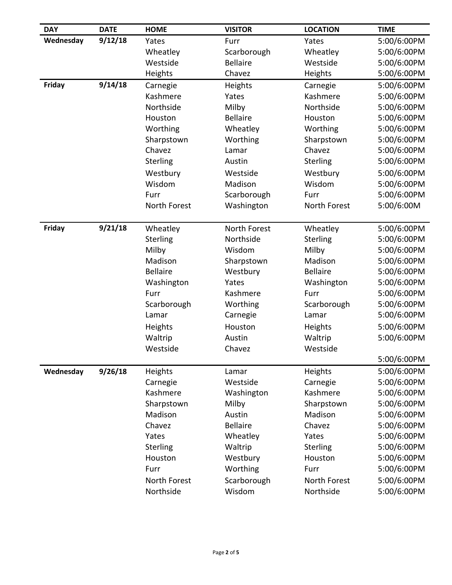| <b>DAY</b> | <b>DATE</b> | <b>HOME</b>     | <b>VISITOR</b>  | <b>LOCATION</b> | <b>TIME</b> |
|------------|-------------|-----------------|-----------------|-----------------|-------------|
| Wednesday  | 9/12/18     | Yates           | Furr            | Yates           | 5:00/6:00PM |
|            |             | Wheatley        | Scarborough     | Wheatley        | 5:00/6:00PM |
|            |             | Westside        | <b>Bellaire</b> | Westside        | 5:00/6:00PM |
|            |             | Heights         | Chavez          | Heights         | 5:00/6:00PM |
| Friday     | 9/14/18     | Carnegie        | Heights         | Carnegie        | 5:00/6:00PM |
|            |             | Kashmere        | Yates           | Kashmere        | 5:00/6:00PM |
|            |             | Northside       | Milby           | Northside       | 5:00/6:00PM |
|            |             | Houston         | <b>Bellaire</b> | Houston         | 5:00/6:00PM |
|            |             | Worthing        | Wheatley        | Worthing        | 5:00/6:00PM |
|            |             | Sharpstown      | Worthing        | Sharpstown      | 5:00/6:00PM |
|            |             | Chavez          | Lamar           | Chavez          | 5:00/6:00PM |
|            |             | Sterling        | Austin          | Sterling        | 5:00/6:00PM |
|            |             | Westbury        | Westside        | Westbury        | 5:00/6:00PM |
|            |             | Wisdom          | Madison         | Wisdom          | 5:00/6:00PM |
|            |             | Furr            | Scarborough     | Furr            | 5:00/6:00PM |
|            |             | North Forest    | Washington      | North Forest    | 5:00/6:00M  |
|            |             |                 |                 |                 |             |
| Friday     | 9/21/18     | Wheatley        | North Forest    | Wheatley        | 5:00/6:00PM |
|            |             | Sterling        | Northside       | Sterling        | 5:00/6:00PM |
|            |             | Milby           | Wisdom          | Milby           | 5:00/6:00PM |
|            |             | Madison         | Sharpstown      | Madison         | 5:00/6:00PM |
|            |             | <b>Bellaire</b> | Westbury        | <b>Bellaire</b> | 5:00/6:00PM |
|            |             | Washington      | Yates           | Washington      | 5:00/6:00PM |
|            |             | Furr            | Kashmere        | Furr            | 5:00/6:00PM |
|            |             | Scarborough     | Worthing        | Scarborough     | 5:00/6:00PM |
|            |             | Lamar           | Carnegie        | Lamar           | 5:00/6:00PM |
|            |             | Heights         | Houston         | Heights         | 5:00/6:00PM |
|            |             | Waltrip         | Austin          | Waltrip         | 5:00/6:00PM |
|            |             | Westside        | Chavez          | Westside        |             |
|            |             |                 |                 |                 | 5:00/6:00PM |
| Wednesday  | 9/26/18     | Heights         | Lamar           | Heights         | 5:00/6:00PM |
|            |             | Carnegie        | Westside        | Carnegie        | 5:00/6:00PM |
|            |             | Kashmere        | Washington      | Kashmere        | 5:00/6:00PM |
|            |             | Sharpstown      | Milby           | Sharpstown      | 5:00/6:00PM |
|            |             | Madison         | Austin          | Madison         | 5:00/6:00PM |
|            |             | Chavez          | <b>Bellaire</b> | Chavez          | 5:00/6:00PM |
|            |             | Yates           | Wheatley        | Yates           | 5:00/6:00PM |
|            |             | Sterling        | Waltrip         | Sterling        | 5:00/6:00PM |
|            |             | Houston         | Westbury        | Houston         | 5:00/6:00PM |
|            |             | Furr            | Worthing        | Furr            | 5:00/6:00PM |
|            |             | North Forest    | Scarborough     | North Forest    | 5:00/6:00PM |
|            |             | Northside       | Wisdom          | Northside       | 5:00/6:00PM |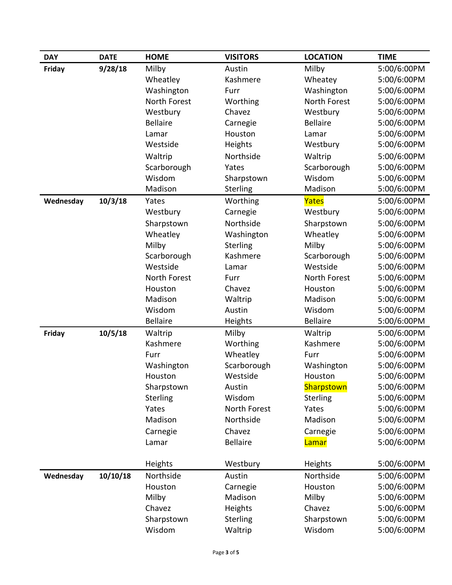| <b>DAY</b> | <b>DATE</b> | <b>HOME</b>     | <b>VISITORS</b> | <b>LOCATION</b>     | <b>TIME</b> |
|------------|-------------|-----------------|-----------------|---------------------|-------------|
| Friday     | 9/28/18     | Milby           | Austin          | Milby               | 5:00/6:00PM |
|            |             | Wheatley        | Kashmere        | Wheatey             | 5:00/6:00PM |
|            |             | Washington      | Furr            | Washington          | 5:00/6:00PM |
|            |             | North Forest    | Worthing        | <b>North Forest</b> | 5:00/6:00PM |
|            |             | Westbury        | Chavez          | Westbury            | 5:00/6:00PM |
|            |             | <b>Bellaire</b> | Carnegie        | <b>Bellaire</b>     | 5:00/6:00PM |
|            |             | Lamar           | Houston         | Lamar               | 5:00/6:00PM |
|            |             | Westside        | Heights         | Westbury            | 5:00/6:00PM |
|            |             | Waltrip         | Northside       | Waltrip             | 5:00/6:00PM |
|            |             | Scarborough     | Yates           | Scarborough         | 5:00/6:00PM |
|            |             | Wisdom          | Sharpstown      | Wisdom              | 5:00/6:00PM |
|            |             | Madison         | <b>Sterling</b> | Madison             | 5:00/6:00PM |
| Wednesday  | 10/3/18     | Yates           | Worthing        | Yates               | 5:00/6:00PM |
|            |             | Westbury        | Carnegie        | Westbury            | 5:00/6:00PM |
|            |             | Sharpstown      | Northside       | Sharpstown          | 5:00/6:00PM |
|            |             | Wheatley        | Washington      | Wheatley            | 5:00/6:00PM |
|            |             | Milby           | Sterling        | Milby               | 5:00/6:00PM |
|            |             | Scarborough     | Kashmere        | Scarborough         | 5:00/6:00PM |
|            |             | Westside        | Lamar           | Westside            | 5:00/6:00PM |
|            |             | North Forest    | Furr            | North Forest        | 5:00/6:00PM |
|            |             | Houston         | Chavez          | Houston             | 5:00/6:00PM |
|            |             | Madison         | Waltrip         | Madison             | 5:00/6:00PM |
|            |             | Wisdom          | Austin          | Wisdom              | 5:00/6:00PM |
|            |             | <b>Bellaire</b> | Heights         | <b>Bellaire</b>     | 5:00/6:00PM |
| Friday     | 10/5/18     | Waltrip         | Milby           | Waltrip             | 5:00/6:00PM |
|            |             | Kashmere        | Worthing        | Kashmere            | 5:00/6:00PM |
|            |             | Furr            | Wheatley        | Furr                | 5:00/6:00PM |
|            |             | Washington      | Scarborough     | Washington          | 5:00/6:00PM |
|            |             | Houston         | Westside        | Houston             | 5:00/6:00PM |
|            |             | Sharpstown      | Austin          | Sharpstown          | 5:00/6:00PM |
|            |             | Sterling        | Wisdom          | <b>Sterling</b>     | 5:00/6:00PM |
|            |             | Yates           | North Forest    | Yates               | 5:00/6:00PM |
|            |             | Madison         | Northside       | Madison             | 5:00/6:00PM |
|            |             | Carnegie        | Chavez          | Carnegie            | 5:00/6:00PM |
|            |             | Lamar           | <b>Bellaire</b> | Lamar               | 5:00/6:00PM |
|            |             | Heights         | Westbury        | <b>Heights</b>      | 5:00/6:00PM |
| Wednesday  | 10/10/18    | Northside       | Austin          | Northside           | 5:00/6:00PM |
|            |             | Houston         | Carnegie        | Houston             | 5:00/6:00PM |
|            |             | Milby           | Madison         | Milby               | 5:00/6:00PM |
|            |             | Chavez          | Heights         | Chavez              | 5:00/6:00PM |
|            |             | Sharpstown      | <b>Sterling</b> | Sharpstown          | 5:00/6:00PM |
|            |             | Wisdom          | Waltrip         | Wisdom              | 5:00/6:00PM |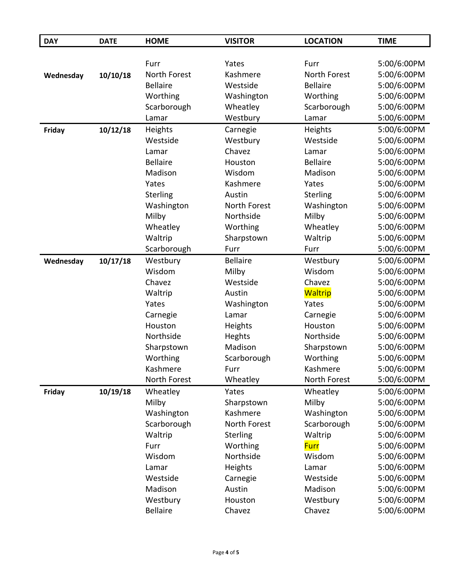| <b>DAY</b> | <b>DATE</b> | <b>HOME</b>         | <b>VISITOR</b>  | <b>LOCATION</b> | <b>TIME</b> |
|------------|-------------|---------------------|-----------------|-----------------|-------------|
|            |             |                     |                 |                 |             |
|            |             | Furr                | Yates           | Furr            | 5:00/6:00PM |
| Wednesday  | 10/10/18    | <b>North Forest</b> | Kashmere        | North Forest    | 5:00/6:00PM |
|            |             | <b>Bellaire</b>     | Westside        | <b>Bellaire</b> | 5:00/6:00PM |
|            |             | Worthing            | Washington      | Worthing        | 5:00/6:00PM |
|            |             | Scarborough         | Wheatley        | Scarborough     | 5:00/6:00PM |
|            |             | Lamar               | Westbury        | Lamar           | 5:00/6:00PM |
| Friday     | 10/12/18    | Heights             | Carnegie        | Heights         | 5:00/6:00PM |
|            |             | Westside            | Westbury        | Westside        | 5:00/6:00PM |
|            |             | Lamar               | Chavez          | Lamar           | 5:00/6:00PM |
|            |             | <b>Bellaire</b>     | Houston         | <b>Bellaire</b> | 5:00/6:00PM |
|            |             | Madison             | Wisdom          | Madison         | 5:00/6:00PM |
|            |             | Yates               | Kashmere        | Yates           | 5:00/6:00PM |
|            |             | <b>Sterling</b>     | Austin          | <b>Sterling</b> | 5:00/6:00PM |
|            |             | Washington          | North Forest    | Washington      | 5:00/6:00PM |
|            |             | Milby               | Northside       | Milby           | 5:00/6:00PM |
|            |             | Wheatley            | Worthing        | Wheatley        | 5:00/6:00PM |
|            |             | Waltrip             | Sharpstown      | Waltrip         | 5:00/6:00PM |
|            |             | Scarborough         | Furr            | Furr            | 5:00/6:00PM |
| Wednesday  | 10/17/18    | Westbury            | <b>Bellaire</b> | Westbury        | 5:00/6:00PM |
|            |             | Wisdom              | Milby           | Wisdom          | 5:00/6:00PM |
|            |             | Chavez              | Westside        | Chavez          | 5:00/6:00PM |
|            |             | Waltrip             | Austin          | <b>Waltrip</b>  | 5:00/6:00PM |
|            |             | Yates               | Washington      | Yates           | 5:00/6:00PM |
|            |             | Carnegie            | Lamar           | Carnegie        | 5:00/6:00PM |
|            |             | Houston             | Heights         | Houston         | 5:00/6:00PM |
|            |             | Northside           | Heghts          | Northside       | 5:00/6:00PM |
|            |             | Sharpstown          | Madison         | Sharpstown      | 5:00/6:00PM |
|            |             | Worthing            | Scarborough     | Worthing        | 5:00/6:00PM |
|            |             | Kashmere            | Furr            | Kashmere        | 5:00/6:00PM |
|            |             | North Forest        | Wheatley        | North Forest    | 5:00/6:00PM |
| Friday     | 10/19/18    | Wheatley            | Yates           | Wheatley        | 5:00/6:00PM |
|            |             | Milby               | Sharpstown      | Milby           | 5:00/6:00PM |
|            |             | Washington          | Kashmere        | Washington      | 5:00/6:00PM |
|            |             | Scarborough         | North Forest    | Scarborough     | 5:00/6:00PM |
|            |             | Waltrip             | Sterling        | Waltrip         | 5:00/6:00PM |
|            |             | Furr                | Worthing        | <b>Furr</b>     | 5:00/6:00PM |
|            |             | Wisdom              | Northside       | Wisdom          | 5:00/6:00PM |
|            |             | Lamar               | Heights         | Lamar           | 5:00/6:00PM |
|            |             | Westside            | Carnegie        | Westside        | 5:00/6:00PM |
|            |             | Madison             | Austin          | Madison         | 5:00/6:00PM |
|            |             | Westbury            | Houston         | Westbury        | 5:00/6:00PM |
|            |             | <b>Bellaire</b>     | Chavez          | Chavez          | 5:00/6:00PM |